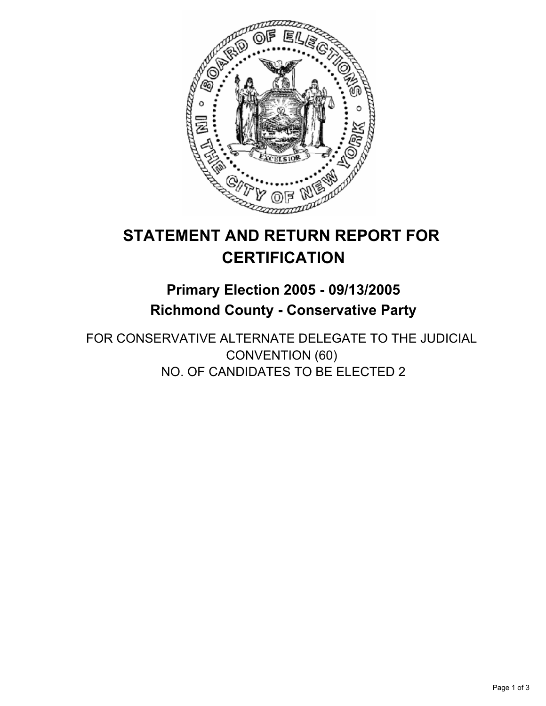

# **STATEMENT AND RETURN REPORT FOR CERTIFICATION**

## **Primary Election 2005 - 09/13/2005 Richmond County - Conservative Party**

FOR CONSERVATIVE ALTERNATE DELEGATE TO THE JUDICIAL CONVENTION (60) NO. OF CANDIDATES TO BE ELECTED 2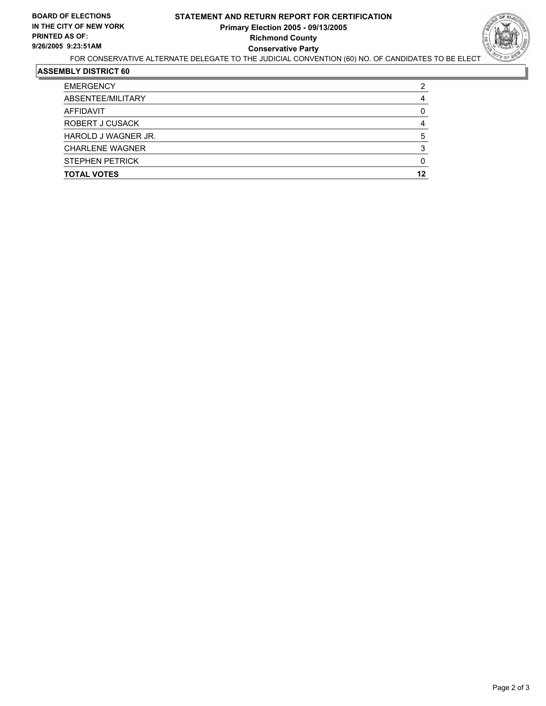### **STATEMENT AND RETURN REPORT FOR CERTIFICATION Primary Election 2005 - 09/13/2005 Richmond County Conservative Party**



FOR CONSERVATIVE ALTERNATE DELEGATE TO THE JUDICIAL CONVENTION (60) NO. OF CANDIDATES TO BE ELECT

#### **ASSEMBLY DISTRICT 60**

| <b>EMERGENCY</b>       | ◠  |
|------------------------|----|
| ABSENTEE/MILITARY      |    |
| AFFIDAVIT              |    |
| ROBERT J CUSACK        |    |
| HAROLD J WAGNER JR.    |    |
| <b>CHARLENE WAGNER</b> |    |
| <b>STEPHEN PETRICK</b> |    |
| <b>TOTAL VOTES</b>     | 12 |